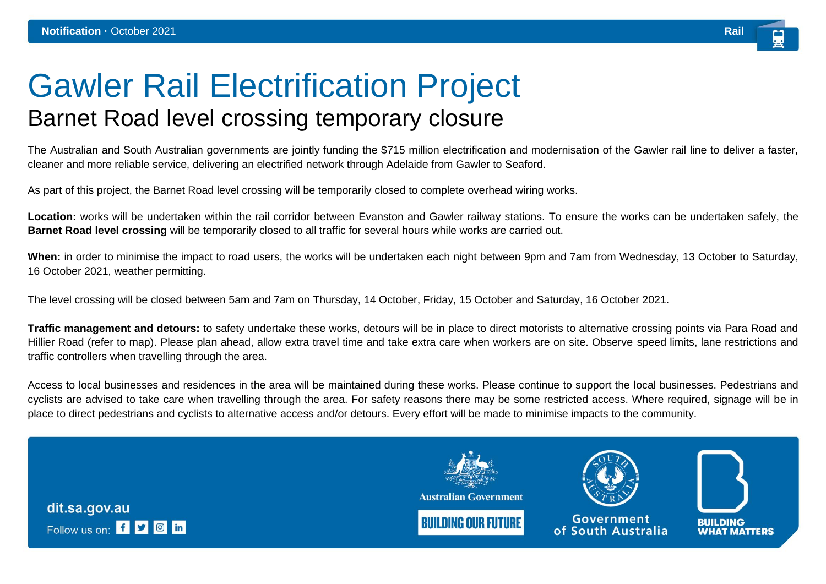## Gawler Rail Electrification Project Barnet Road level crossing temporary closure

The Australian and South Australian governments are jointly funding the \$715 million electrification and modernisation of the Gawler rail line to deliver a faster, cleaner and more reliable service, delivering an electrified network through Adelaide from Gawler to Seaford.

As part of this project, the Barnet Road level crossing will be temporarily closed to complete overhead wiring works.

**Location:** works will be undertaken within the rail corridor between Evanston and Gawler railway stations. To ensure the works can be undertaken safely, the **Barnet Road level crossing** will be temporarily closed to all traffic for several hours while works are carried out.

**When:** in order to minimise the impact to road users, the works will be undertaken each night between 9pm and 7am from Wednesday, 13 October to Saturday, 16 October 2021, weather permitting.

The level crossing will be closed between 5am and 7am on Thursday, 14 October, Friday, 15 October and Saturday, 16 October 2021.

**Traffic management and detours:** to safety undertake these works, detours will be in place to direct motorists to alternative crossing points via Para Road and Hillier Road (refer to map). Please plan ahead, allow extra travel time and take extra care when workers are on site. Observe speed limits, lane restrictions and traffic controllers when travelling through the area.

Access to local businesses and residences in the area will be maintained during these works. Please continue to support the local businesses. Pedestrians and cyclists are advised to take care when travelling through the area. For safety reasons there may be some restricted access. Where required, signage will be in place to direct pedestrians and cyclists to alternative access and/or detours. Every effort will be made to minimise impacts to the community.